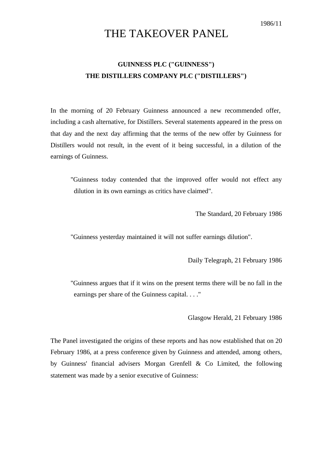## THE TAKEOVER PANEL

## **GUINNESS PLC ("GUINNESS") THE DISTILLERS COMPANY PLC ("DISTILLERS")**

In the morning of 20 February Guinness announced a new recommended offer, including a cash alternative, for Distillers. Several statements appeared in the press on that day and the next day affirming that the terms of the new offer by Guinness for Distillers would not result, in the event of it being successful, in a dilution of the earnings of Guinness.

"Guinness today contended that the improved offer would not effect any dilution in its own earnings as critics have claimed".

The Standard, 20 February 1986

"Guinness yesterday maintained it will not suffer earnings dilution".

Daily Telegraph, 21 February 1986

"Guinness argues that if it wins on the present terms there will be no fall in the earnings per share of the Guinness capital. . . ."

Glasgow Herald, 21 February 1986

The Panel investigated the origins of these reports and has now established that on 20 February 1986, at a press conference given by Guinness and attended, among others, by Guinness' financial advisers Morgan Grenfell & Co Limited, the following statement was made by a senior executive of Guinness: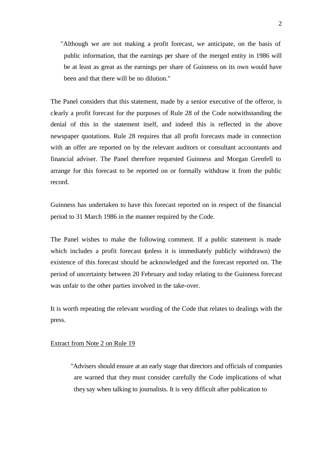"Although we are not making a profit forecast, we anticipate, on the basis of public information, that the earnings per share of the merged entity in 1986 will be at least as great as the earnings per share of Guinness on its own would have been and that there will be no dilution."

The Panel considers that this statement, made by a senior executive of the offeror, is clearly a profit forecast for the purposes of Rule 28 of the Code notwithstanding the denial of this in the statement itself, and indeed this is reflected in the above newspaper quotations. Rule 28 requires that all profit forecasts made in connection with an offer are reported on by the relevant auditors or consultant accountants and financial adviser. The Panel therefore requested Guinness and Morgan Grenfell to arrange for this forecast to be reported on or formally withdraw it from the public record.

Guinness has undertaken to have this forecast reported on in respect of the financial period to 31 March 1986 in the manner required by the Code.

The Panel wishes to make the following comment. If a public statement is made which includes a profit forecast (unless it is immediately publicly withdrawn) the existence of this forecast should be acknowledged and the forecast reported on. The period of uncertainty between 20 February and today relating to the Guinness forecast was unfair to the other parties involved in the take-over.

It is worth repeating the relevant wording of the Code that relates to dealings with the press.

## Extract from Note 2 on Rule 19

"Advisers should ensure at an early stage that directors and officials of companies are warned that they must consider carefully the Code implications of what they say when talking to journalists. It is very difficult after publication to